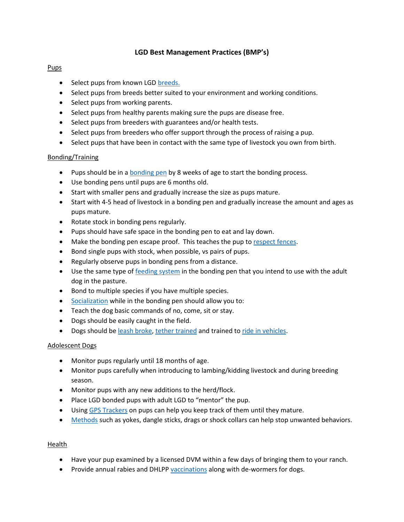# **LGD Best Management Practices (BMP's)**

### Pups

- Select pups from known LGD [breeds.](https://texaslgdassoc.org/links/)
- Select pups from breeds better suited to your environment and working conditions.
- Select pups from working parents.
- Select pups from healthy parents making sure the pups are disease free.
- Select pups from breeders with guarantees and/or health tests.
- Select pups from breeders who offer support through the process of raising a pup.
- Select pups that have been in contact with the same type of livestock you own from birth.

## Bonding/Training

- Pups should be in a [bonding pen](https://www.youtube.com/watch?v=EuoAw1ZOimE) by 8 weeks of age to start the bonding process.
- Use bonding pens until pups are 6 months old.
- Start with smaller pens and gradually increase the size as pups mature.
- Start with 4-5 head of livestock in a bonding pen and gradually increase the amount and ages as pups mature.
- Rotate stock in bonding pens regularly.
- Pups should have safe space in the bonding pen to eat and lay down.
- Make the bonding pen escape proof. This teaches the pup to [respect fences.](https://www.youtube.com/watch?v=K9DOQQY4UvM)
- Bond single pups with stock, when possible, vs pairs of pups.
- Regularly observe pups in bonding pens from a distance.
- Use the same type of [feeding system](https://www.youtube.com/watch?v=ONn_xF6orbA) in the bonding pen that you intend to use with the adult dog in the pasture.
- Bond to multiple species if you have multiple species.
- [Socialization](https://www.youtube.com/watch?v=rPZBmgwQG1A) while in the bonding pen should allow you to:
- Teach the dog basic commands of no, come, sit or stay.
- Dogs should be easily caught in the field.
- Dogs should b[e leash broke,](https://www.youtube.com/watch?v=OmR6Om_a85U) [tether trained](https://www.youtube.com/watch?v=Icy8w1yIyMA) and trained to [ride in vehicles.](https://www.youtube.com/watch?v=rPZBmgwQG1A)

### Adolescent Dogs

- Monitor pups regularly until 18 months of age.
- Monitor pups carefully when introducing to lambing/kidding livestock and during breeding season.
- Monitor pups with any new additions to the herd/flock.
- Place LGD bonded pups with adult LGD to "mentor" the pup.
- Using [GPS Trackers](https://www.youtube.com/watch?v=MGw_ILiLS1I) on pups can help you keep track of them until they mature.
- [Methods](https://www.youtube.com/watch?v=idcbbUUzahg) such as yokes, dangle sticks, drags or shock collars can help stop unwanted behaviors.

### Health

- Have your pup examined by a licensed DVM within a few days of bringing them to your ranch.
- Provide annual rabies and DHLP[P vaccinations](https://www.youtube.com/watch?v=pYk5tiSwCbY) along with de-wormers for dogs.